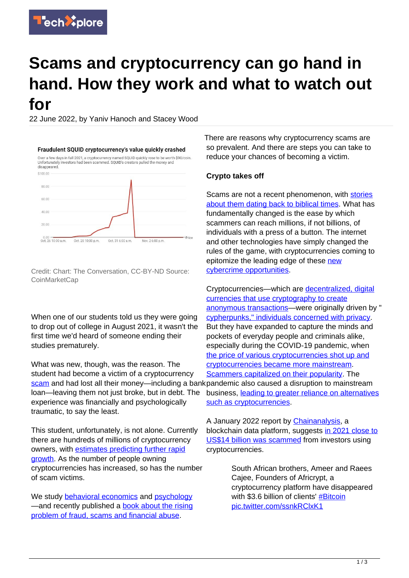

# **Scams and cryptocurrency can go hand in hand. How they work and what to watch out for**

22 June 2022, by Yaniv Hanoch and Stacey Wood



Credit: Chart: The Conversation, CC-BY-ND Source: CoinMarketCap

When one of our students told us they were going to drop out of college in August 2021, it wasn't the first time we'd heard of someone ending their studies prematurely.

What was new, though, was the reason. The student had become a victim of a cryptocurrency [scam](https://techxplore.com/tags/scam/) and had lost all their money—including a bankpandemic also caused a disruption to mainstream loan—leaving them not just broke, but in debt. The experience was financially and psychologically traumatic, to say the least.

This student, unfortunately, is not alone. Currently there are hundreds of millions of cryptocurrency owners, with [estimates predicting further rapid](https://assets.ctfassets.net/hfgyig42jimx/5i8TeN1QYJDjn82pSuZB5S/85c7c9393f3ee67e456ec780f9bf11e3/Cryptodotcom_Crypto_Market_Sizing_Jan2022.pdf) [growth](https://assets.ctfassets.net/hfgyig42jimx/5i8TeN1QYJDjn82pSuZB5S/85c7c9393f3ee67e456ec780f9bf11e3/Cryptodotcom_Crypto_Market_Sizing_Jan2022.pdf). As the number of people owning cryptocurrencies has increased, so has the number of scam victims.

We study [behavioral economics](https://scholar.google.com/citations?hl=en&user=tLkeURsAAAAJ) and [psychology](https://scholar.google.com/citations?hl=en&view_op=list_works&gmla=AJsN-F4Duqf9w-yRoxI_zWEQFHqsNVBbjyTuzE_DcB9qQZd43DA-MXVCyxnE5gPF2STCeZGNVUb9yS-Dw3pwJFdrL22oit3ZKA&user=NsBe-cYAAAAJ) —and recently published a **[book about the rising](https://www.routledge.com/A-Fresh-Look-at-Fraud-Theoretical-and-Applied-Perspectives/Hanoch-Wood/p/book/9780367861445)** [problem of fraud, scams and financial abuse](https://www.routledge.com/A-Fresh-Look-at-Fraud-Theoretical-and-Applied-Perspectives/Hanoch-Wood/p/book/9780367861445).

There are reasons why cryptocurrency scams are so prevalent. And there are steps you can take to reduce your chances of becoming a victim.

### **Crypto takes off**

Scams are not a recent phenomenon, with [stories](https://www.routledge.com/A-Fresh-Look-at-Fraud-Theoretical-and-Applied-Perspectives/Hanoch-Wood/p/book/9780367861445) [about them dating back to biblical times](https://www.routledge.com/A-Fresh-Look-at-Fraud-Theoretical-and-Applied-Perspectives/Hanoch-Wood/p/book/9780367861445). What has fundamentally changed is the ease by which scammers can reach millions, if not billions, of individuals with a press of a button. The internet and other technologies have simply changed the rules of the game, with cryptocurrencies coming to epitomize the leading edge of these [new](https://consumer.ftc.gov/articles/what-know-about-cryptocurrency-and-scams) [cybercrime opportunities](https://consumer.ftc.gov/articles/what-know-about-cryptocurrency-and-scams).

Cryptocurrencies—which are [decentralized, digital](https://www.coindesk.com/learn/what-is-cryptocurrency/) [currencies that use cryptography to create](https://www.coindesk.com/learn/what-is-cryptocurrency/) [anonymous transactions—](https://www.coindesk.com/learn/what-is-cryptocurrency/)were originally driven by " [cypherpunks," individuals concerned with privacy](https://nakamoto.com/the-cypherpunks/). But they have expanded to capture the minds and pockets of everyday people and criminals alike, especially during the COVID-19 pandemic, when [the price of various cryptocurrencies shot up and](https://harbert.auburn.edu/news/is-cryptocurrency-going-mainstream-yes-but-theres-more-to-the-story.html) [cryptocurrencies became more mainstream.](https://harbert.auburn.edu/news/is-cryptocurrency-going-mainstream-yes-but-theres-more-to-the-story.html) [Scammers capitalized on their popularity.](https://www.bitdefender.com/blog/hotforsecurity/fake-COVID-19-cryptocurrency-emerges-promising-to-gain-value-with-each-death) The business, [leading to greater reliance on alternatives](https://doi.org/10.1016/j.frl.2021.102049) [such as cryptocurrencies](https://doi.org/10.1016/j.frl.2021.102049).

A January 2022 report by [Chainanalysis,](https://www.chainalysis.com/) a blockchain data platform, suggests [in 2021 close to](https://blog.chainalysis.com/reports/2022-crypto-crime-report-introduction/) [US\\$14 billion was scammed](https://blog.chainalysis.com/reports/2022-crypto-crime-report-introduction/) from investors using cryptocurrencies.

> South African brothers, Ameer and Raees Cajee, Founders of Africrypt, a cryptocurrency platform have disappeared with \$3.6 billion of clients' [#Bitcoin](https://twitter.com/hashtag/Bitcoin?src=hash&ref_src=twsrc%5Etfw) [pic.twitter.com/ssnkRClxK1](https://t.co/ssnkRClxK1)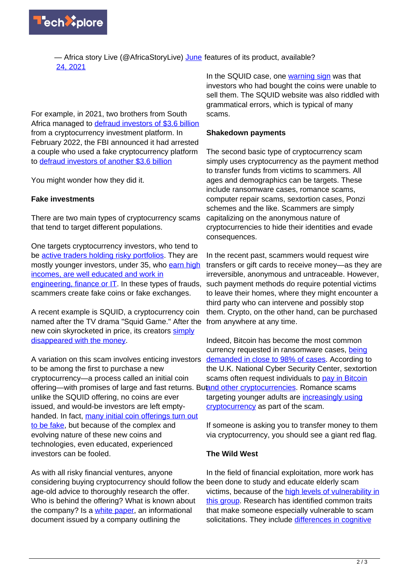

— Africa story Live (@AfricaStoryLive) [June](https://twitter.com/AfricaStoryLive/status/1408117635481485318?ref_src=twsrc%5Etfw) features of its product, available? [24, 2021](https://twitter.com/AfricaStoryLive/status/1408117635481485318?ref_src=twsrc%5Etfw)

For example, in 2021, two brothers from South Africa managed to [defraud investors of \\$3.6 billion](https://www.bloomberg.com/news/articles/2021-06-23/s-african-brothers-vanish-and-so-does-3-6-billion-in-bitcoin) from a cryptocurrency investment platform. In February 2022, the FBI announced it had arrested a couple who used a fake cryptocurrency platform to [defraud investors of another \\$3.6 billion](https://www.euronews.com/next/2022/02/09/us-couple-arrested-for-alleged-fraud-after-3-6-billion-stolen-bitcoin-seized-in-a-record-h)

You might wonder how they did it.

## **Fake investments**

There are two main types of cryptocurrency scams that tend to target different populations.

One targets cryptocurrency investors, who tend to be [active traders holding risky portfolios.](https://doi.org/10.1093/rof/rfab034) They are mostly younger investors, under 35, who [earn high](https://blog.bitpanda.com/en/understanding-cryptocurrency-holders-in-europe) [incomes, are well educated and work in](https://blog.bitpanda.com/en/understanding-cryptocurrency-holders-in-europe) [engineering, finance or IT](https://blog.bitpanda.com/en/understanding-cryptocurrency-holders-in-europe). In these types of frauds, scammers create fake coins or fake exchanges.

A recent example is SQUID, a cryptocurrency coin named after the TV drama "Squid Game." After the new coin skyrocketed in price, its creators [simply](https://www.cnn.com/2021/11/01/investing/squid-game-cryptocurrency-scam/index.html) [disappeared with the money.](https://www.cnn.com/2021/11/01/investing/squid-game-cryptocurrency-scam/index.html)

A variation on this scam involves enticing investors to be among the first to purchase a new cryptocurrency—a process called an initial coin offering—with promises of large and fast returns. But[and other cryptocurrencies.](https://www.ncsc.gov.uk/guidance/sextortion-scams-how-to-protect-yourself) Romance scams unlike the SQUID offering, no coins are ever issued, and would-be investors are left emptyhanded. In fact, [many initial coin offerings turn out](https://research.bloomberg.com/pub/res/d28giW28tf6G7T_Wr77aU0gDgFQ) [to be fake,](https://research.bloomberg.com/pub/res/d28giW28tf6G7T_Wr77aU0gDgFQ) but because of the complex and evolving nature of these new coins and technologies, even educated, experienced investors can be fooled.

As with all risky financial ventures, anyone considering buying cryptocurrency should follow the been done to study and educate elderly scam age-old advice to thoroughly research the offer. Who is behind the offering? What is known about the company? Is a [white paper](https://techxplore.com/tags/white+paper/), an informational document issued by a company outlining the

In the SQUID case, one [warning sign](https://techxplore.com/tags/warning+sign/) was that investors who had bought the coins were unable to sell them. The SQUID website was also riddled with grammatical errors, which is typical of many scams.

#### **Shakedown payments**

The second basic type of cryptocurrency scam simply uses cryptocurrency as the payment method to transfer funds from victims to scammers. All ages and demographics can be targets. These include ransomware cases, romance scams, computer repair scams, sextortion cases, Ponzi schemes and the like. Scammers are simply capitalizing on the anonymous nature of cryptocurrencies to hide their identities and evade consequences.

In the recent past, scammers would request wire transfers or gift cards to receive money—as they are irreversible, anonymous and untraceable. However, such payment methods do require potential victims to leave their homes, where they might encounter a third party who can intervene and possibly stop them. Crypto, on the other hand, can be purchased from anywhere at any time.

Indeed, Bitcoin has become the most common currency requested in ransomware cases, [being](https://blog.emsisoft.com/en/33977/is-ransomware-driving-up-the-price-of-bitcoin/#:~:text=Bitcoin%20accounted%20for%20about%2098,part%20of%20the%20ransomware%20model) [demanded in close to 98% of cases](https://blog.emsisoft.com/en/33977/is-ransomware-driving-up-the-price-of-bitcoin/#:~:text=Bitcoin%20accounted%20for%20about%2098,part%20of%20the%20ransomware%20model). According to the U.K. National Cyber Security Center, sextortion scams often request individuals to [pay in Bitcoin](https://www.ncsc.gov.uk/guidance/sextortion-scams-how-to-protect-yourself) targeting younger adults are [increasingly using](https://www.ncsc.gov.uk/guidance/sextortion-scams-how-to-protect-yourself) [cryptocurrency](https://www.ncsc.gov.uk/guidance/sextortion-scams-how-to-protect-yourself) as part of the scam.

If someone is asking you to transfer money to them via cryptocurrency, you should see a giant red flag.

## **The Wild West**

In the field of financial exploitation, more work has victims, because of the [high levels of vulnerability in](https://doi.org/10.1007/s11606-014-2946-2) [this group.](https://doi.org/10.1007/s11606-014-2946-2) Research has identified common traits that make someone especially vulnerable to scam solicitations. They include [differences in cognitive](https://doi.org/10.1177/0963721421995489)